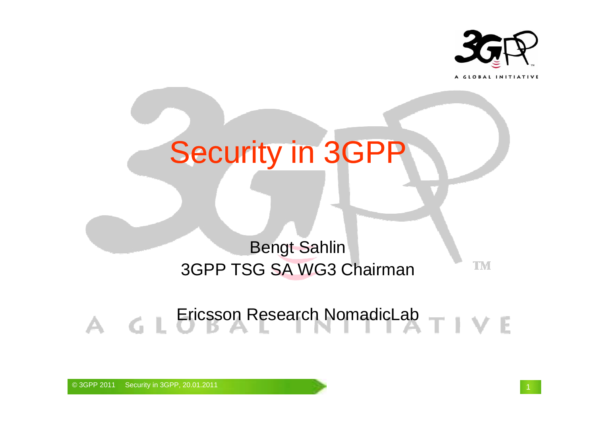

A GLOBAL INITIATIVE

TM

# Security in 3GPP

### Bengt Sahlin3GPP TSG SA WG3 Chairman

Ericsson Research NomadicLab TIVE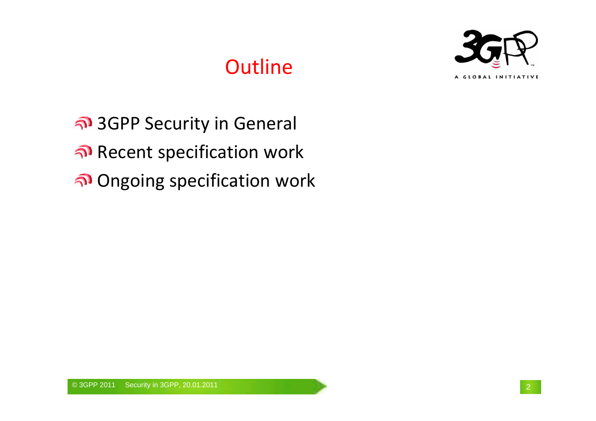## **Outline**



3GPP Security in GeneralRecent specification workOngoing specification work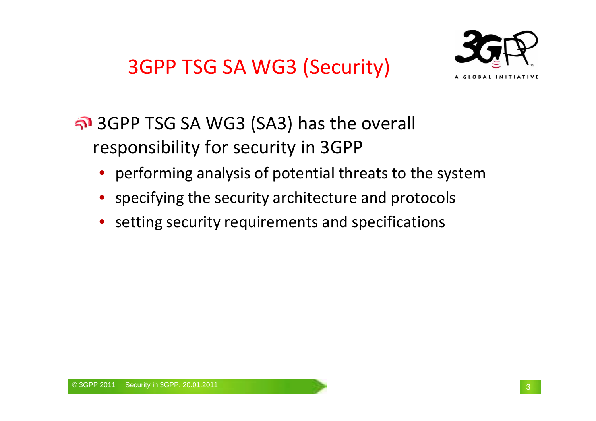3GPP TSG SA WG3 (Security)



### 3GPP TSG SA WG3 (SA3) has the overall responsibility for security in 3GPP

- performing analysis of potential threats to the system
- specifying the security architecture and protocols
- setting security requirements and specifications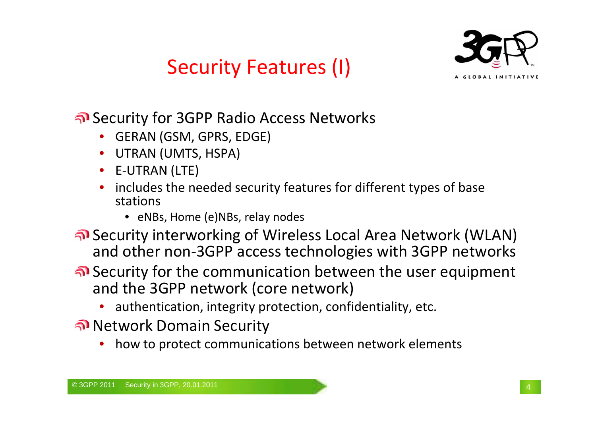



Security for 3GPP Radio Access Networks

- •GERAN (GSM, GPRS, EDGE)
- •UTRAN (UMTS, HSPA)
- •E-UTRAN (LTE)
- • includes the needed security features for different types of base stations
	- eNBs, Home (e)NBs, relay nodes
- Security interworking of Wireless Local Area Network (WLAN) and other non-3GPP access technologies with 3GPP networks
- Security for the communication between the user equipment and the 3GPP network (core network)
	- authentication, integrity protection, confidentiality, etc.
- Network Domain Security
	- how to protect communications between network elements•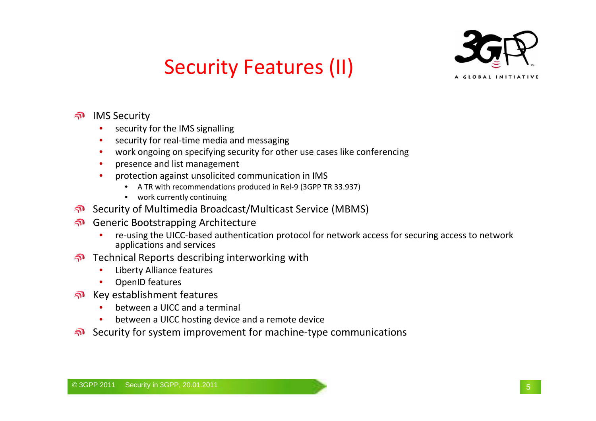

### Security Features (II)

- IMS Security
	- security for the IMS signalling •
	- **•** security for real-time media and messaging •
	- work ongoing on specifying security for other use cases like conferencing•
	- •presence and list management
	- • protection against unsolicited communication in IMS
		- A TR with recommendations produced in Rel-9 (3GPP TR 33.937)
		- work currently continuing
- Security of Multimedia Broadcast/Multicast Service (MBMS)
- Generic Bootstrapping Architecture
	- re-using the UICC-based authentication protocol for network access for securing access to network •applications and services
- **Thermical Reports describing interworking with** 
	- •Liberty Alliance features
	- •OpenID features
- Key establishment features
	- between a UICC and a terminal •
	- •between a UICC hosting device and a remote device
- Security for system improvement for machine-type communications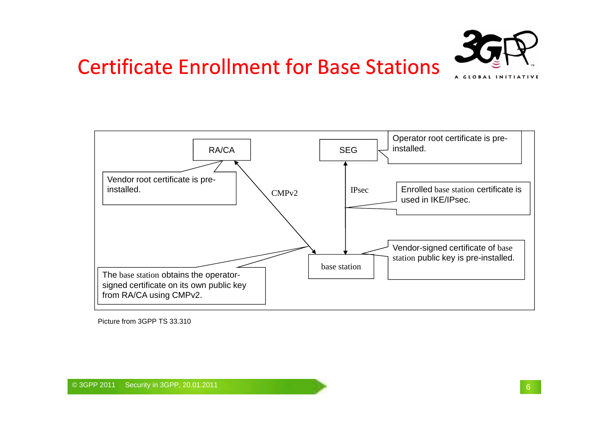### Certificate Enrollment for Base Stations





Picture from 3GPP TS 33.310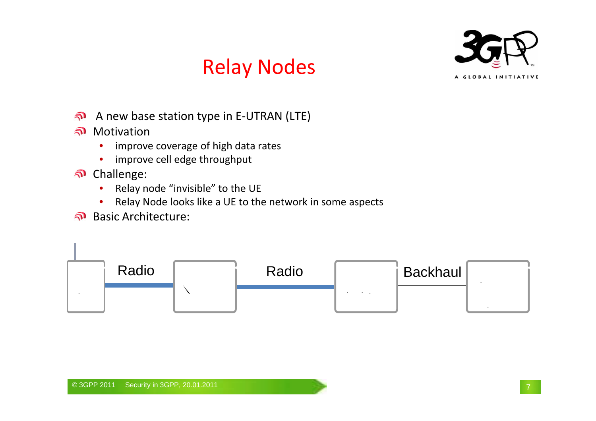



- A new base station type in E-UTRAN (LTE) $\widehat{\mathbf{z}}$
- Motivation
	- **•** improve coverage of high data rates •
	- •improve cell edge throughput
- Challenge:
	- •Relay node "invisible" to the UE
	- Relay Node looks like a UE to the network in some aspects•
- Basic Architecture:

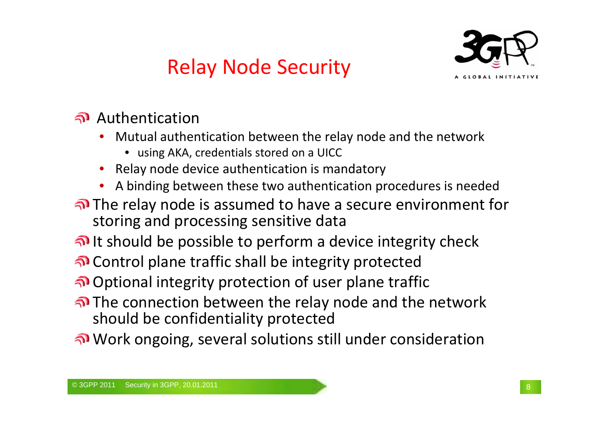# Relay Node Security



#### Authentication

- Mutual authentication between the relay node and the network•
	- using AKA, credentials stored on a UICC
- **•** Relay node device authentication is mandatory •
- A binding between these two authentication procedures is needed•
- The relay node is assumed to have a secure environment for storing and processing sensitive data
- It should be possible to perform a device integrity check
- Control plane traffic shall be integrity protected
- Optional integrity protection of user plane traffic
- The connection between the relay node and the network should be confidentiality protected
- Work ongoing, several solutions still under consideration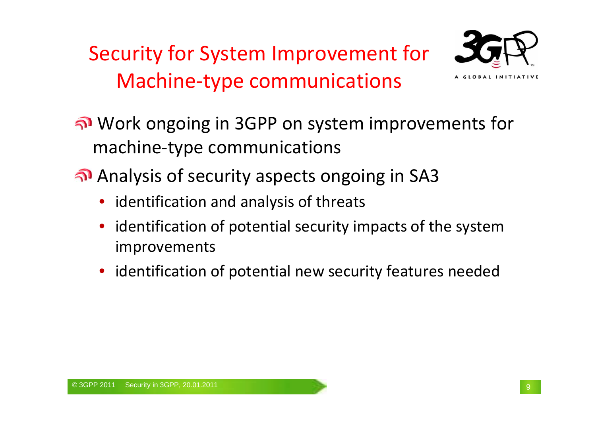Security for System Improvement for Machine-type communications



Work ongoing in 3GPP on system improvements for machine-type communications

Analysis of security aspects ongoing in SA3

- identification and analysis of threats
- • identification of potential security impacts of the system improvements
- identification of potential new security features needed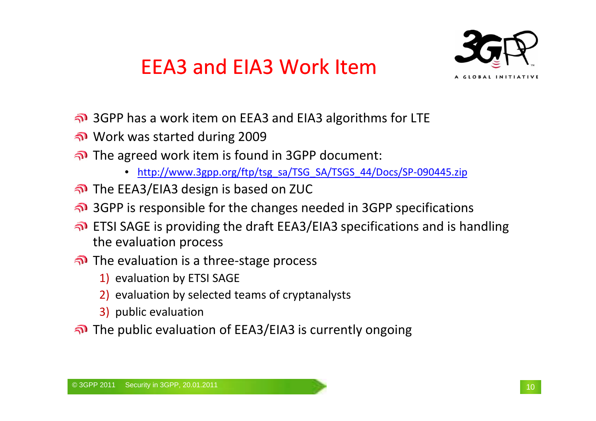### EEA3 and EIA3 Work Item



- 3GPP has a work item on EEA3 and EIA3 algorithms for LTE
- Work was started during 2009
- The agreed work item is found in 3GPP document:
	- •http://www.3gpp.org/ftp/tsg\_sa/TSG\_SA/TSGS\_44/Docs/SP-090445.zip
- The EEA3/EIA3 design is based on ZUC
- 3GPP is responsible for the changes needed in 3GPP specifications
- **n** ETSI SAGE is providing the draft EEA3/EIA3 specifications and is handling the evaluation process
- The evaluation is a three-stage process
	- 1) evaluation by ETSI SAGE
	- 2) evaluation by selected teams of cryptanalysts
	- 3) public evaluation
- The public evaluation of EEA3/EIA3 is currently ongoing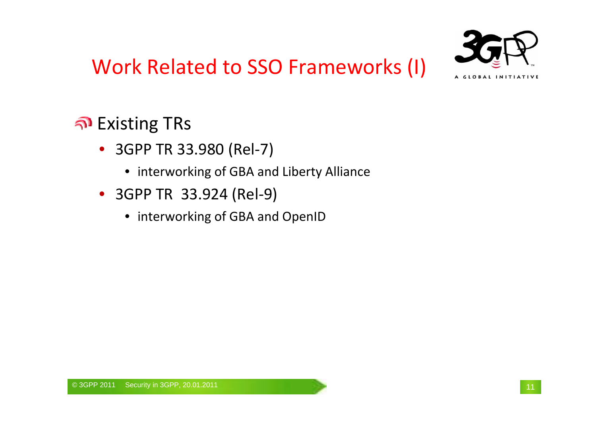



### Existing TRs

- 3GPP TR 33.980 (Rel-7)
	- interworking of GBA and Liberty Alliance
- 3GPP TR 33.924 (Rel-9)
	- interworking of GBA and OpenID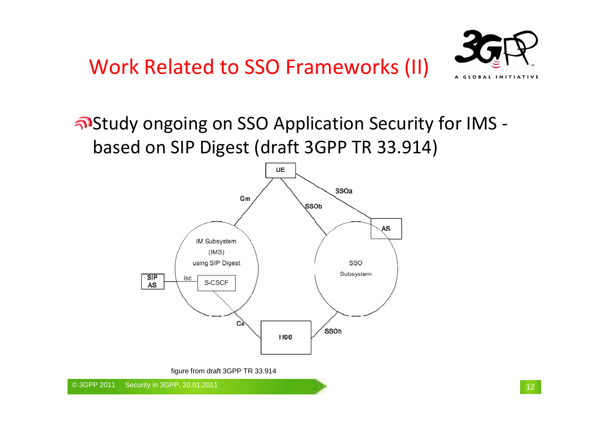

Study ongoing on SSO Application Security for IMS based on SIP Digest (draft 3GPP TR 33.914)



figure from draft 3GPP TR 33.914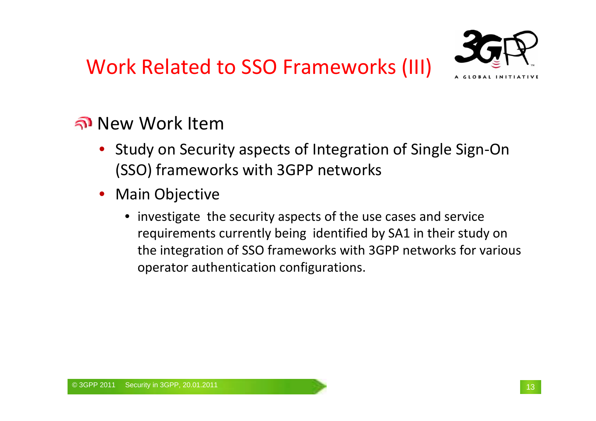# Work Related to SSO Frameworks (III)



#### New Work Item

- Study on Security aspects of Integration of Single Sign-On (SSO) frameworks with 3GPP networks
- Main Objective
	- investigate the security aspects of the use cases and service requirements currently being identified by SA1 in their study on the integration of SSO frameworks with 3GPP networks for various operator authentication configurations.